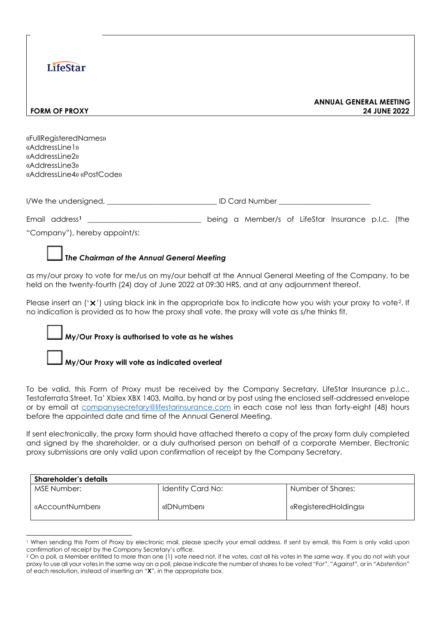# **LifeStar**

#### **ANNUAL GENERAL MEETING FORM OF PROXY 24 JUNE 2022**

«FullRegisteredNames» «AddressLine1» «AddressLine2» «AddressLine3» «AddressLine4» «PostCode»

| I/We the undersigned, | <b>ID Card Number</b> |
|-----------------------|-----------------------|
|-----------------------|-----------------------|

Email address**[1](#page-0-0)** \_\_\_\_\_\_\_\_\_\_\_\_\_\_\_\_\_\_\_\_\_\_\_\_\_\_\_\_\_\_\_ being a Member/s of LifeStar Insurance p.l.c. (the

"Company"), hereby appoint/s:

#### **T***he Chairman of the Annual General Meeting*

as my/our proxy to vote for me/us on my/our behalf at the Annual General Meeting of the Company, to be held on the twenty-fourth (24) day of June 2022 at 09:30 HRS, and at any adjournment thereof.

Please insert an  $('x')$  using black ink in the appropriate box to indicate how you wish your proxy to vote?. If no indication is provided as to how the proxy shall vote, the proxy will vote as s/he thinks fit.

#### **My/Our Proxy is authorised to vote as he wishes**

#### **My/Our Proxy will vote as indicated overleaf**

To be valid, this Form of Proxy must be received by the Company Secretary, LifeStar Insurance p.l.c., Testaferrata Street, Ta' Xbiex XBX 1403, Malta, by hand or by post using the enclosed self-addressed envelope or by email at [companysecretary@lifestarinsurance.com](mailto:companysecretary@lifestarinsurance.com) in each case not less than forty-eight (48) hours before the appointed date and time of the Annual General Meeting.

If sent electronically, the proxy form should have attached thereto a copy of the proxy form duly completed and signed by the shareholder, or a duly authorised person on behalf of a corporate Member. Electronic proxy submissions are only valid upon confirmation of receipt by the Company Secretary.

| <b>Shareholder's details</b> |                   |                      |  |  |
|------------------------------|-------------------|----------------------|--|--|
| MSE Number:                  | Identity Card No: | Number of Shares:    |  |  |
| «AccountNumber»              | «IDNumben»        | «RegisteredHoldings» |  |  |

<span id="page-0-0"></span><sup>1</sup> When sending this Form of Proxy by electronic mail, please specify your email address. If sent by email, this Form is only valid upon confirmation of receipt by the Company Secretary's office.

<span id="page-0-1"></span><sup>&</sup>lt;sup>2</sup> On a poll, a Member entitled to more than one (1) vote need not, if he votes, cast all his votes in the same way. If you do not wish your proxy to use all your votes in the same way on a poll, please indicate the number of shares to be voted "*For*", "*Against*", or in "*Abstention*" of each resolution, instead of inserting an "**X**", in the appropriate box.